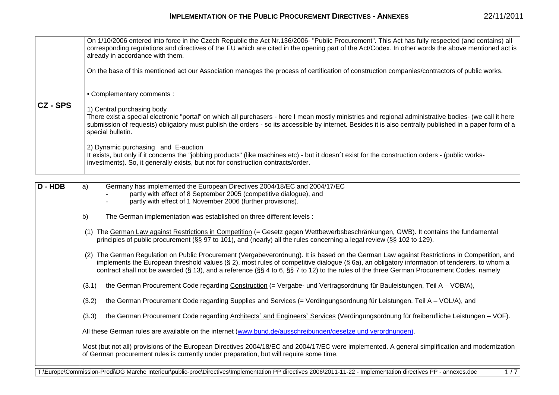|               | On 1/10/2006 entered into force in the Czech Republic the Act Nr.136/2006- "Public Procurement". This Act has fully respected (and contains) all<br>corresponding regulations and directives of the EU which are cited in the opening part of the Act/Codex. In other words the above mentioned act is<br>already in accordance with them.<br>On the base of this mentioned act our Association manages the process of certification of construction companies/contractors of public works. |
|---------------|---------------------------------------------------------------------------------------------------------------------------------------------------------------------------------------------------------------------------------------------------------------------------------------------------------------------------------------------------------------------------------------------------------------------------------------------------------------------------------------------|
| <b>CZ-SPS</b> | • Complementary comments :<br>1) Central purchasing body<br>There exist a special electronic "portal" on which all purchasers - here I mean mostly ministries and regional administrative bodies- (we call it here<br>submission of requests) obligatory must publish the orders - so its accessible by internet. Besides it is also centrally published in a paper form of a<br>special bulletin.                                                                                          |
|               | 2) Dynamic purchasing and E-auction<br>It exists, but only if it concerns the "jobbing products" (like machines etc) - but it doesn't exist for the construction orders - (public works-<br>investments). So, it generally exists, but not for construction contracts/order.                                                                                                                                                                                                                |

| D - HDB | Germany has implemented the European Directives 2004/18/EC and 2004/17/EC<br>a)                                                                                                                                                                                                                                                                                                                                                            |
|---------|--------------------------------------------------------------------------------------------------------------------------------------------------------------------------------------------------------------------------------------------------------------------------------------------------------------------------------------------------------------------------------------------------------------------------------------------|
|         | partly with effect of 8 September 2005 (competitive dialogue), and<br>partly with effect of 1 November 2006 (further provisions).                                                                                                                                                                                                                                                                                                          |
|         |                                                                                                                                                                                                                                                                                                                                                                                                                                            |
|         | The German implementation was established on three different levels :<br>b)                                                                                                                                                                                                                                                                                                                                                                |
|         | The German Law against Restrictions in Competition (= Gesetz gegen Wettbewerbsbeschränkungen, GWB). It contains the fundamental<br>(1)<br>principles of public procurement (§§ 97 to 101), and (nearly) all the rules concerning a legal review (§§ 102 to 129).                                                                                                                                                                           |
|         | The German Regulation on Public Procurement (Vergabeverordnung). It is based on the German Law against Restrictions in Competition, and<br>(2)<br>implements the European threshold values (§ 2), most rules of competitive dialogue (§ 6a), an obligatory information of tenderers, to whom a<br>contract shall not be awarded (§ 13), and a reference (§§ 4 to 6, §§ 7 to 12) to the rules of the three German Procurement Codes, namely |
|         | the German Procurement Code regarding Construction (= Vergabe- und Vertragsordnung für Bauleistungen, Teil A – VOB/A),<br>(3.1)                                                                                                                                                                                                                                                                                                            |
|         | the German Procurement Code regarding Supplies and Services (= Verdingungsordnung für Leistungen, Teil A – VOL/A), and<br>(3.2)                                                                                                                                                                                                                                                                                                            |
|         | the German Procurement Code regarding Architects' and Engineers' Services (Verdingungsordnung für freiberufliche Leistungen - VOF).<br>(3.3)                                                                                                                                                                                                                                                                                               |
|         | All these German rules are available on the internet (www.bund.de/ausschreibungen/gesetze und verordnungen).                                                                                                                                                                                                                                                                                                                               |
|         | Most (but not all) provisions of the European Directives 2004/18/EC and 2004/17/EC were implemented. A general simplification and modernization<br>of German procurement rules is currently under preparation, but will require some time.                                                                                                                                                                                                 |
|         | T:\Europe\Commission-Prodi\DG Marche Interieur\public-proc\Directives\Implementation PP directives 2006\2011-11-22 - Implementation directives PP - annexes.doc<br>1/7                                                                                                                                                                                                                                                                     |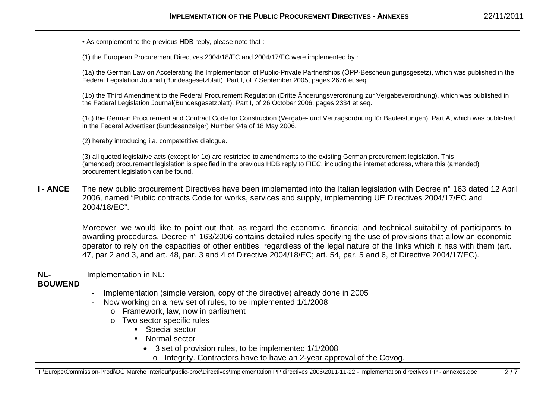|                | . As complement to the previous HDB reply, please note that:                                                                                                                                                                                                                                                                                                                                                                                                                                                   |
|----------------|----------------------------------------------------------------------------------------------------------------------------------------------------------------------------------------------------------------------------------------------------------------------------------------------------------------------------------------------------------------------------------------------------------------------------------------------------------------------------------------------------------------|
|                | (1) the European Procurement Directives 2004/18/EC and 2004/17/EC were implemented by :                                                                                                                                                                                                                                                                                                                                                                                                                        |
|                | (1a) the German Law on Accelerating the Implementation of Public-Private Partnerships (ÖPP-Bescheunigungsgesetz), which was published in the<br>Federal Legislation Journal (Bundesgesetzblatt), Part I, of 7 September 2005, pages 2676 et seq.                                                                                                                                                                                                                                                               |
|                | (1b) the Third Amendment to the Federal Procurement Regulation (Dritte Änderungsverordnung zur Vergabeverordnung), which was published in<br>the Federal Legislation Journal(Bundesgesetzblatt), Part I, of 26 October 2006, pages 2334 et seq.                                                                                                                                                                                                                                                                |
|                | (1c) the German Procurement and Contract Code for Construction (Vergabe- und Vertragsordnung für Bauleistungen), Part A, which was published<br>in the Federal Advertiser (Bundesanzeiger) Number 94a of 18 May 2006.                                                                                                                                                                                                                                                                                          |
|                | (2) hereby introducing i.a. competetitive dialogue.                                                                                                                                                                                                                                                                                                                                                                                                                                                            |
|                | (3) all quoted legislative acts (except for 1c) are restricted to amendments to the existing German procurement legislation. This<br>(amended) procurement legislation is specified in the previous HDB reply to FIEC, including the internet address, where this (amended)<br>procurement legislation can be found.                                                                                                                                                                                           |
| - ANCE         | The new public procurement Directives have been implemented into the Italian legislation with Decree n° 163 dated 12 April<br>2006, named "Public contracts Code for works, services and supply, implementing UE Directives 2004/17/EC and<br>2004/18/EC".                                                                                                                                                                                                                                                     |
|                | Moreover, we would like to point out that, as regard the economic, financial and technical suitability of participants to<br>awarding procedures, Decree n° 163/2006 contains detailed rules specifying the use of provisions that allow an economic<br>operator to rely on the capacities of other entities, regardless of the legal nature of the links which it has with them (art.<br>47, par 2 and 3, and art. 48, par. 3 and 4 of Directive 2004/18/EC; art. 54, par. 5 and 6, of Directive 2004/17/EC). |
|                |                                                                                                                                                                                                                                                                                                                                                                                                                                                                                                                |
| NL-            | Implementation in NL:                                                                                                                                                                                                                                                                                                                                                                                                                                                                                          |
| <b>BOUWEND</b> | Implementation (simple version, copy of the directive) already done in 2005                                                                                                                                                                                                                                                                                                                                                                                                                                    |
|                |                                                                                                                                                                                                                                                                                                                                                                                                                                                                                                                |

- Now working on a new set of rules, to be implemented 1/1/2008
	- <sup>o</sup> Framework, law, now in parliament
	- <sup>o</sup> Two sector specific rules
		- **Special sector**
		- Normal sector
			- 3 set of provision rules, to be implemented 1/1/2008
				- <sup>o</sup> Integrity. Contractors have to have an 2-year approval of the Covog.

T:\Europe\Commission-Prodi\DG Marche Interieur\public-proc\Directives\Implementation PP directives 2006\2011-11-22 - Implementation directives PP - annexes.doc 2/7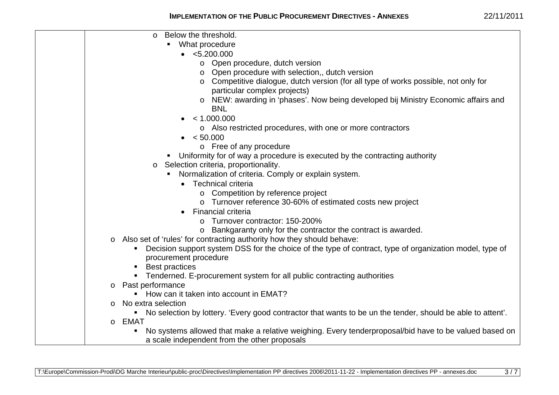| Below the threshold.<br>$\circ$                                                                              |
|--------------------------------------------------------------------------------------------------------------|
| • What procedure                                                                                             |
| $\bullet$ <5.200.000                                                                                         |
| o Open procedure, dutch version                                                                              |
| o Open procedure with selection,, dutch version                                                              |
| ○ Competitive dialogue, dutch version (for all type of works possible, not only for                          |
| particular complex projects)                                                                                 |
| o NEW: awarding in 'phases'. Now being developed bij Ministry Economic affairs and                           |
| <b>BNL</b>                                                                                                   |
| < 1.000.000                                                                                                  |
| o Also restricted procedures, with one or more contractors                                                   |
| $\bullet$ < 50.000                                                                                           |
| o Free of any procedure                                                                                      |
| • Uniformity for of way a procedure is executed by the contracting authority                                 |
| Selection criteria, proportionality.<br>$\circ$                                                              |
| Normalization of criteria. Comply or explain system.                                                         |
| Technical criteria<br>$\bullet$                                                                              |
| o Competition by reference project                                                                           |
| o Turnover reference 30-60% of estimated costs new project                                                   |
| <b>Financial criteria</b>                                                                                    |
| Turnover contractor: 150-200%<br>$\Omega$                                                                    |
| o Bankgaranty only for the contractor the contract is awarded.                                               |
| o Also set of 'rules' for contracting authority how they should behave:                                      |
| Decision support system DSS for the choice of the type of contract, type of organization model, type of      |
| procurement procedure                                                                                        |
| <b>Best practices</b>                                                                                        |
| Tenderned. E-procurement system for all public contracting authorities                                       |
| Past performance<br>$\circ$                                                                                  |
| How can it taken into account in EMAT?                                                                       |
| No extra selection                                                                                           |
| • No selection by lottery. 'Every good contractor that wants to be un the tender, should be able to attent'. |
| o <b>EMAT</b>                                                                                                |
| No systems allowed that make a relative weighing. Every tenderproposal/bid have to be valued based on        |
| a scale independent from the other proposals                                                                 |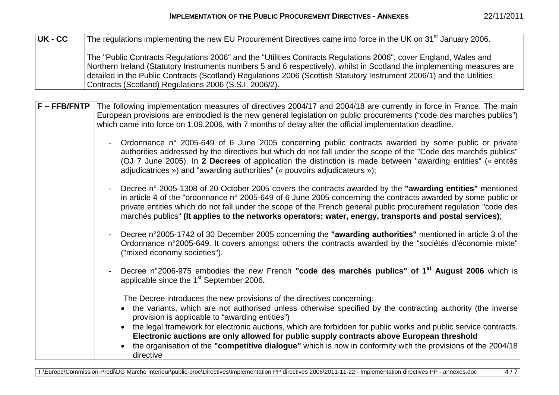| UK - CC | The regulations implementing the new EU Procurement Directives came into force in the UK on 31 <sup>st</sup> January 2006.                                                                                                                                                                                                                                                                                                     |
|---------|--------------------------------------------------------------------------------------------------------------------------------------------------------------------------------------------------------------------------------------------------------------------------------------------------------------------------------------------------------------------------------------------------------------------------------|
|         | The "Public Contracts Regulations 2006" and the "Utilities Contracts Regulations 2006", cover England, Wales and<br>Northern Ireland (Statutory Instruments numbers 5 and 6 respectively), whilst in Scotland the implementing measures are<br>detailed in the Public Contracts (Scotland) Regulations 2006 (Scottish Statutory Instrument 2006/1) and the Utilities<br>Contracts (Scotland) Regulations 2006 (S.S.I. 2006/2). |

| F-FFB/FNTP | The following implementation measures of directives 2004/17 and 2004/18 are currently in force in France. The main<br>European provisions are embodied is the new general legislation on public procurements ("code des marches publics")<br>which came into force on 1.09.2006, with 7 months of delay after the official implementation deadline.                                                                                                                                                                                                                        |
|------------|----------------------------------------------------------------------------------------------------------------------------------------------------------------------------------------------------------------------------------------------------------------------------------------------------------------------------------------------------------------------------------------------------------------------------------------------------------------------------------------------------------------------------------------------------------------------------|
|            | Ordonnance n° 2005-649 of 6 June 2005 concerning public contracts awarded by some public or private<br>$\overline{\phantom{0}}$<br>authorities addressed by the directives but which do not fall under the scope of the "Code des marchés publics"<br>(OJ 7 June 2005). In 2 Decrees of application the distinction is made between "awarding entities" (« entités<br>adjudicatrices ») and "awarding authorities" (« pouvoirs adjudicateurs »);                                                                                                                           |
|            | Decree n° 2005-1308 of 20 October 2005 covers the contracts awarded by the "awarding entities" mentioned<br>in article 4 of the "ordonnance n° 2005-649 of 6 June 2005 concerning the contracts awarded by some public or<br>private entities which do not fall under the scope of the French general public procurement regulation "code des<br>marchés publics" (It applies to the networks operators: water, energy, transports and postal services);                                                                                                                   |
|            | Decree n°2005-1742 of 30 December 2005 concerning the "awarding authorities" mentioned in article 3 of the<br>$\blacksquare$<br>Ordonnance n°2005-649. It covers amongst others the contracts awarded by the "sociétés d'économie mixte"<br>("mixed economy societies").                                                                                                                                                                                                                                                                                                   |
|            | Decree n°2006-975 embodies the new French "code des marchés publics" of 1 <sup>st</sup> August 2006 which is<br>applicable since the 1 <sup>st</sup> September 2006.                                                                                                                                                                                                                                                                                                                                                                                                       |
|            | The Decree introduces the new provisions of the directives concerning.<br>• the variants, which are not authorised unless otherwise specified by the contracting authority (the inverse<br>provision is applicable to "awarding entities")<br>the legal framework for electronic auctions, which are forbidden for public works and public service contracts.<br>Electronic auctions are only allowed for public supply contracts above European threshold<br>the organisation of the "competitive dialogue" which is now in conformity with the provisions of the 2004/18 |
|            | directive                                                                                                                                                                                                                                                                                                                                                                                                                                                                                                                                                                  |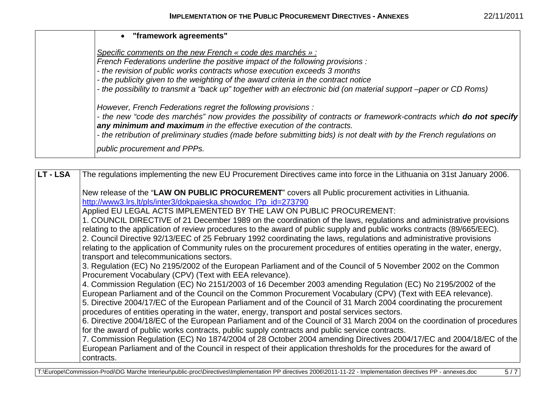| • "framework agreements"                                                                                                                                                                   |
|--------------------------------------------------------------------------------------------------------------------------------------------------------------------------------------------|
| Specific comments on the new French « code des marchés » :<br>French Federations underline the positive impact of the following provisions :                                               |
| - the revision of public works contracts whose execution exceeds 3 months                                                                                                                  |
| - the publicity given to the weighting of the award criteria in the contract notice                                                                                                        |
| - the possibility to transmit a "back up" together with an electronic bid (on material support -paper or CD Roms)                                                                          |
| However, French Federations regret the following provisions :                                                                                                                              |
| - the new "code des marchés" now provides the possibility of contracts or framework-contracts which do not specify<br>any minimum and maximum in the effective execution of the contracts. |
| - the retribution of preliminary studies (made before submitting bids) is not dealt with by the French regulations on                                                                      |
| public procurement and PPPs.                                                                                                                                                               |

| LT-LSA | The regulations implementing the new EU Procurement Directives came into force in the Lithuania on 31st January 2006.                                                                                                     |
|--------|---------------------------------------------------------------------------------------------------------------------------------------------------------------------------------------------------------------------------|
|        | New release of the "LAW ON PUBLIC PROCUREMENT" covers all Public procurement activities in Lithuania.<br>http://www3.lrs.lt/pls/inter3/dokpaieska.showdoc_l?p_id=273790                                                   |
|        | Applied EU LEGAL ACTS IMPLEMENTED BY THE LAW ON PUBLIC PROCUREMENT:                                                                                                                                                       |
|        | 1. COUNCIL DIRECTIVE of 21 December 1989 on the coordination of the laws, regulations and administrative provisions                                                                                                       |
|        | relating to the application of review procedures to the award of public supply and public works contracts (89/665/EEC).                                                                                                   |
|        | 2. Council Directive 92/13/EEC of 25 February 1992 coordinating the laws, regulations and administrative provisions                                                                                                       |
|        | relating to the application of Community rules on the procurement procedures of entities operating in the water, energy,                                                                                                  |
|        | transport and telecommunications sectors.                                                                                                                                                                                 |
|        | 3. Regulation (EC) No 2195/2002 of the European Parliament and of the Council of 5 November 2002 on the Common                                                                                                            |
|        | Procurement Vocabulary (CPV) (Text with EEA relevance).                                                                                                                                                                   |
|        | 4. Commission Regulation (EC) No 2151/2003 of 16 December 2003 amending Regulation (EC) No 2195/2002 of the                                                                                                               |
|        | European Parliament and of the Council on the Common Procurement Vocabulary (CPV) (Text with EEA relevance).                                                                                                              |
|        | 5. Directive 2004/17/EC of the European Parliament and of the Council of 31 March 2004 coordinating the procurement                                                                                                       |
|        | procedures of entities operating in the water, energy, transport and postal services sectors.<br>6. Directive 2004/18/EC of the European Parliament and of the Council of 31 March 2004 on the coordination of procedures |
|        | for the award of public works contracts, public supply contracts and public service contracts.                                                                                                                            |
|        | 7. Commission Regulation (EC) No 1874/2004 of 28 October 2004 amending Directives 2004/17/EC and 2004/18/EC of the                                                                                                        |
|        | European Parliament and of the Council in respect of their application thresholds for the procedures for the award of                                                                                                     |
|        | contracts.                                                                                                                                                                                                                |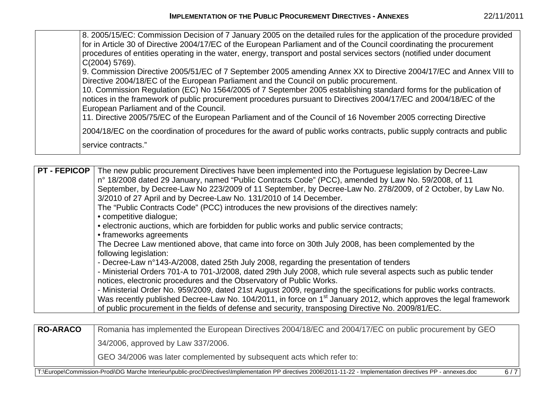| for in Article 30 of Directive 2004/17/EC of the European Parliament and of the Council coordinating the procurement<br>procedures of entities operating in the water, energy, transport and postal services sectors (notified under document<br>$C(2004)$ 5769).<br>9. Commission Directive 2005/51/EC of 7 September 2005 amending Annex XX to Directive 2004/17/EC and Annex VIII to<br>Directive 2004/18/EC of the European Parliament and the Council on public procurement.<br>10. Commission Regulation (EC) No 1564/2005 of 7 September 2005 establishing standard forms for the publication of<br>notices in the framework of public procurement procedures pursuant to Directives 2004/17/EC and 2004/18/EC of the<br>European Parliament and of the Council.<br>11. Directive 2005/75/EC of the European Parliament and of the Council of 16 November 2005 correcting Directive<br>2004/18/EC on the coordination of procedures for the award of public works contracts, public supply contracts and public<br>service contracts." |
|-----------------------------------------------------------------------------------------------------------------------------------------------------------------------------------------------------------------------------------------------------------------------------------------------------------------------------------------------------------------------------------------------------------------------------------------------------------------------------------------------------------------------------------------------------------------------------------------------------------------------------------------------------------------------------------------------------------------------------------------------------------------------------------------------------------------------------------------------------------------------------------------------------------------------------------------------------------------------------------------------------------------------------------------------|
|-----------------------------------------------------------------------------------------------------------------------------------------------------------------------------------------------------------------------------------------------------------------------------------------------------------------------------------------------------------------------------------------------------------------------------------------------------------------------------------------------------------------------------------------------------------------------------------------------------------------------------------------------------------------------------------------------------------------------------------------------------------------------------------------------------------------------------------------------------------------------------------------------------------------------------------------------------------------------------------------------------------------------------------------------|

**PT - FEPICOP** The new public procurement Directives have been implemented into the Portuguese legislation by Decree-Law <sup>n</sup>° 18/2008 dated 29 January, named "Public Contracts Code" (PCC), amended by Law No. 59/2008, of 11 September, by Decree-Law No 223/2009 of 11 September, by Decree-Law No. 278/2009, of 2 October, by Law No. 3/2010 of 27 April and by Decree-Law No. 131/2010 of 14 December. The "Public Contracts Code" (PCC) introduces the new provisions of the directives namely: • competitive dialogue; • electronic auctions, which are forbidden for public works and public service contracts; • frameworks agreements The Decree Law mentioned above, that came into force on 30th July 2008, has been complemented by the following legislation: - Decree-Law n°143-A/2008, dated 25th July 2008, regarding the presentation of tenders - Ministerial Orders 701-A to 701-J/2008, dated 29th July 2008, which rule several aspects such as public tender notices, electronic procedures and the Observatory of Public Works. - Ministerial Order No. 959/2009, dated 21st August 2009, regarding the specifications for public works contracts. Was recently published Decree-Law No. 104/2011, in force on 1<sup>st</sup> January 2012, which approves the legal framework of public procurement in the fields of defense and security, transposing Directive No. 2009/81/EC.

**RO-ARACO** Romania has implemented the European Directives 2004/18/EC and 2004/17/EC on public procurement by GEO 34/2006, approved by Law 337/2006.

GEO 34/2006 was later complemented by subsequent acts which refer to:

T:\Europe\Commission-Prodi\DG Marche Interieur\public-proc\Directives\Implementation PP directives 2006\2011-11-22 - Implementation directives PP - annexes.doc 6 / 7